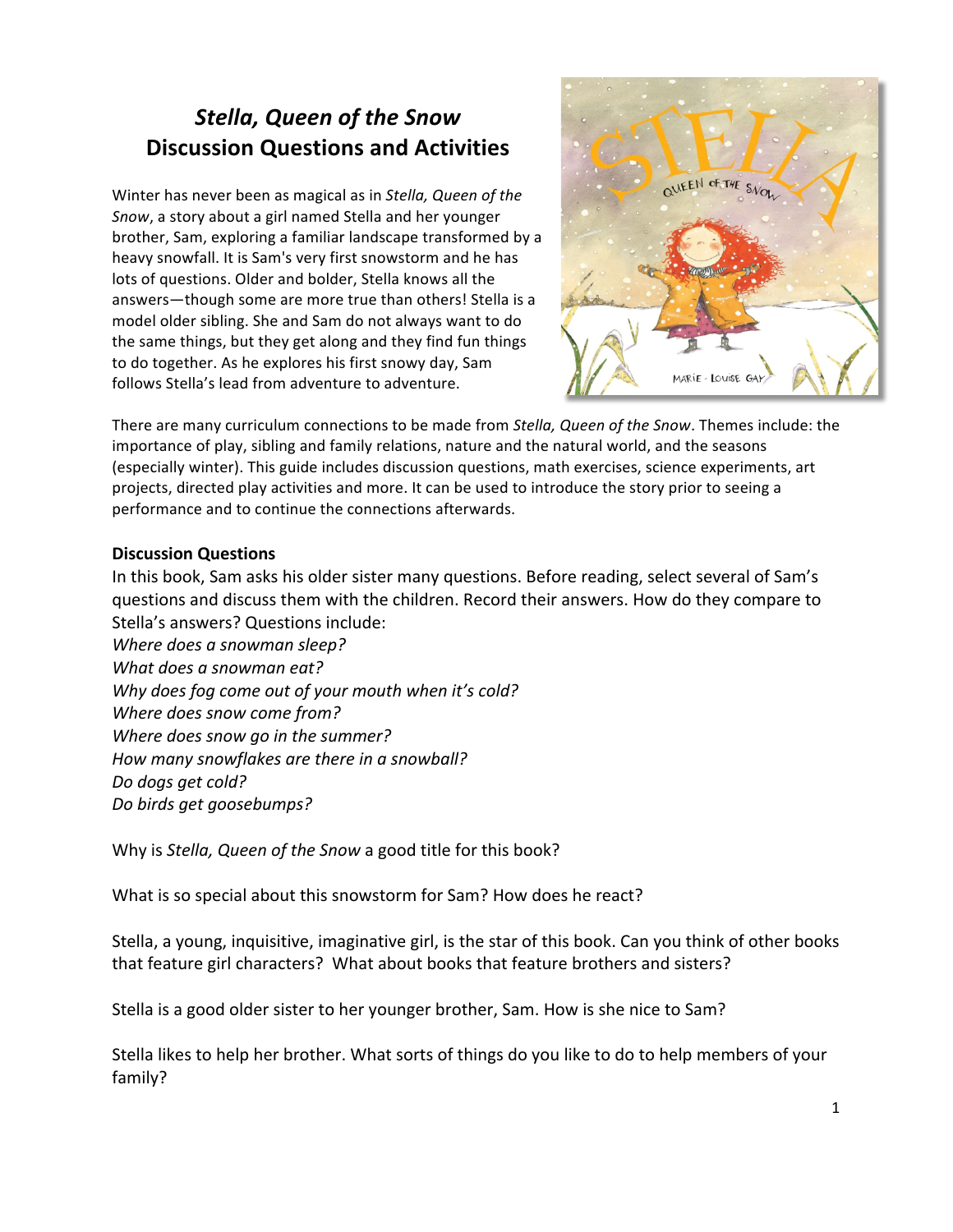## **Stella, Queen of the Snow Discussion Questions and Activities**

Winter has never been as magical as in *Stella, Queen of the Snow*, a story about a girl named Stella and her younger brother, Sam, exploring a familiar landscape transformed by a heavy snowfall. It is Sam's very first snowstorm and he has lots of questions. Older and bolder, Stella knows all the answers-though some are more true than others! Stella is a model older sibling. She and Sam do not always want to do the same things, but they get along and they find fun things to do together. As he explores his first snowy day, Sam follows Stella's lead from adventure to adventure.



There are many curriculum connections to be made from *Stella, Queen of the Snow*. Themes include: the importance of play, sibling and family relations, nature and the natural world, and the seasons (especially winter). This guide includes discussion questions, math exercises, science experiments, art projects, directed play activities and more. It can be used to introduce the story prior to seeing a performance and to continue the connections afterwards.

#### **Discussion Questions**

In this book, Sam asks his older sister many questions. Before reading, select several of Sam's questions and discuss them with the children. Record their answers. How do they compare to Stella's answers? Questions include:

*Where does a snowman sleep?* What does a snowman eat? Why does fog come out of your mouth when it's cold? *Where does snow come from? Where does snow go in the summer?* How many snowflakes are there in a snowball? *Do dogs get cold? Do birds get goosebumps?*

Why is *Stella, Queen of the Snow* a good title for this book?

What is so special about this snowstorm for Sam? How does he react?

Stella, a young, inquisitive, imaginative girl, is the star of this book. Can you think of other books that feature girl characters? What about books that feature brothers and sisters?

Stella is a good older sister to her younger brother, Sam. How is she nice to Sam?

Stella likes to help her brother. What sorts of things do you like to do to help members of your family?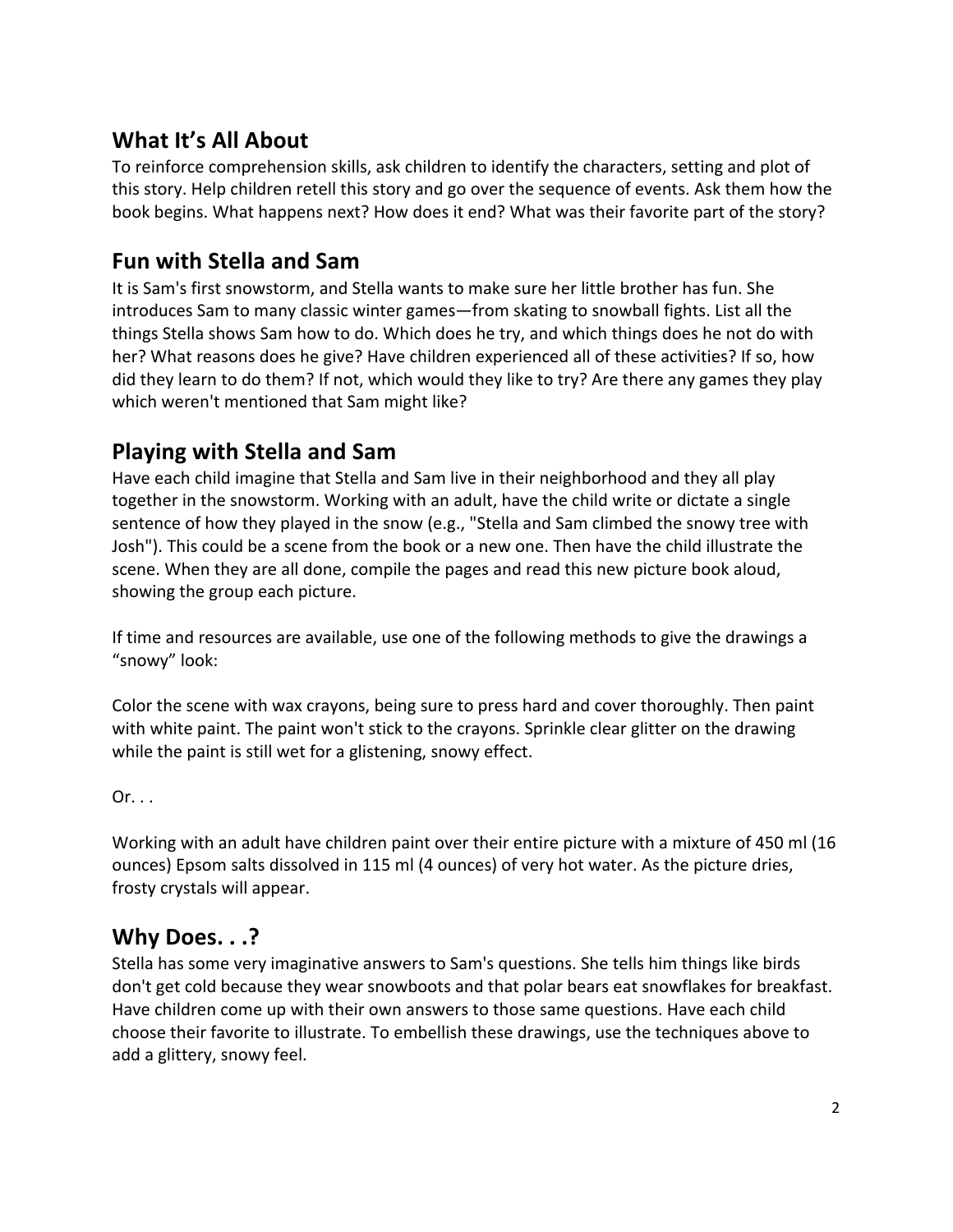#### What It's All About

To reinforce comprehension skills, ask children to identify the characters, setting and plot of this story. Help children retell this story and go over the sequence of events. Ask them how the book begins. What happens next? How does it end? What was their favorite part of the story?

### **Fun with Stella and Sam**

It is Sam's first snowstorm, and Stella wants to make sure her little brother has fun. She introduces Sam to many classic winter games—from skating to snowball fights. List all the things Stella shows Sam how to do. Which does he try, and which things does he not do with her? What reasons does he give? Have children experienced all of these activities? If so, how did they learn to do them? If not, which would they like to try? Are there any games they play which weren't mentioned that Sam might like?

### **Playing with Stella and Sam**

Have each child imagine that Stella and Sam live in their neighborhood and they all play together in the snowstorm. Working with an adult, have the child write or dictate a single sentence of how they played in the snow (e.g., "Stella and Sam climbed the snowy tree with Josh"). This could be a scene from the book or a new one. Then have the child illustrate the scene. When they are all done, compile the pages and read this new picture book aloud, showing the group each picture.

If time and resources are available, use one of the following methods to give the drawings a "snowy" look:

Color the scene with wax crayons, being sure to press hard and cover thoroughly. Then paint with white paint. The paint won't stick to the crayons. Sprinkle clear glitter on the drawing while the paint is still wet for a glistening, snowy effect.

 $Or. . .$ 

Working with an adult have children paint over their entire picture with a mixture of 450 ml (16 ounces) Epsom salts dissolved in 115 ml (4 ounces) of very hot water. As the picture dries, frosty crystals will appear.

#### **Why Does. . .?**

Stella has some very imaginative answers to Sam's questions. She tells him things like birds don't get cold because they wear snowboots and that polar bears eat snowflakes for breakfast. Have children come up with their own answers to those same questions. Have each child choose their favorite to illustrate. To embellish these drawings, use the techniques above to add a glittery, snowy feel.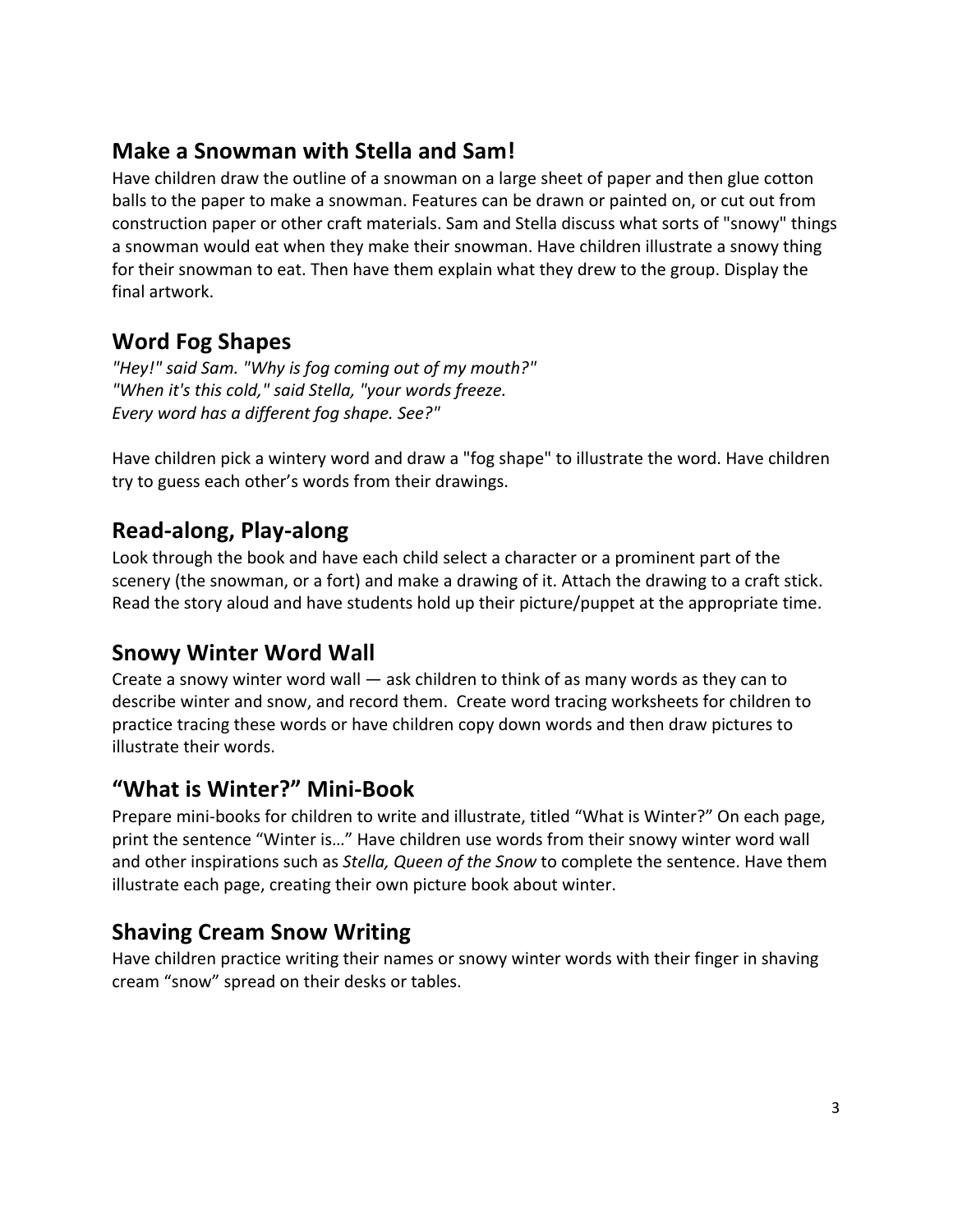### **Make a Snowman with Stella and Sam!**

Have children draw the outline of a snowman on a large sheet of paper and then glue cotton balls to the paper to make a snowman. Features can be drawn or painted on, or cut out from construction paper or other craft materials. Sam and Stella discuss what sorts of "snowy" things a snowman would eat when they make their snowman. Have children illustrate a snowy thing for their snowman to eat. Then have them explain what they drew to the group. Display the final artwork.

### **Word Fog Shapes**

"Hey!" said Sam. "Why is fog coming out of my mouth?" "When it's this cold," said Stella, "your words freeze. *Every word has a different fog shape. See?"*

Have children pick a wintery word and draw a "fog shape" to illustrate the word. Have children try to guess each other's words from their drawings.

#### **Read-along, Play-along**

Look through the book and have each child select a character or a prominent part of the scenery (the snowman, or a fort) and make a drawing of it. Attach the drawing to a craft stick. Read the story aloud and have students hold up their picture/puppet at the appropriate time.

#### **Snowy Winter Word Wall**

Create a snowy winter word wall  $-$  ask children to think of as many words as they can to describe winter and snow, and record them. Create word tracing worksheets for children to practice tracing these words or have children copy down words and then draw pictures to illustrate their words.

#### **"What is Winter?" Mini-Book**

Prepare mini-books for children to write and illustrate, titled "What is Winter?" On each page, print the sentence "Winter is..." Have children use words from their snowy winter word wall and other inspirations such as *Stella, Queen of the Snow* to complete the sentence. Have them illustrate each page, creating their own picture book about winter.

#### **Shaving Cream Snow Writing**

Have children practice writing their names or snowy winter words with their finger in shaving cream "snow" spread on their desks or tables.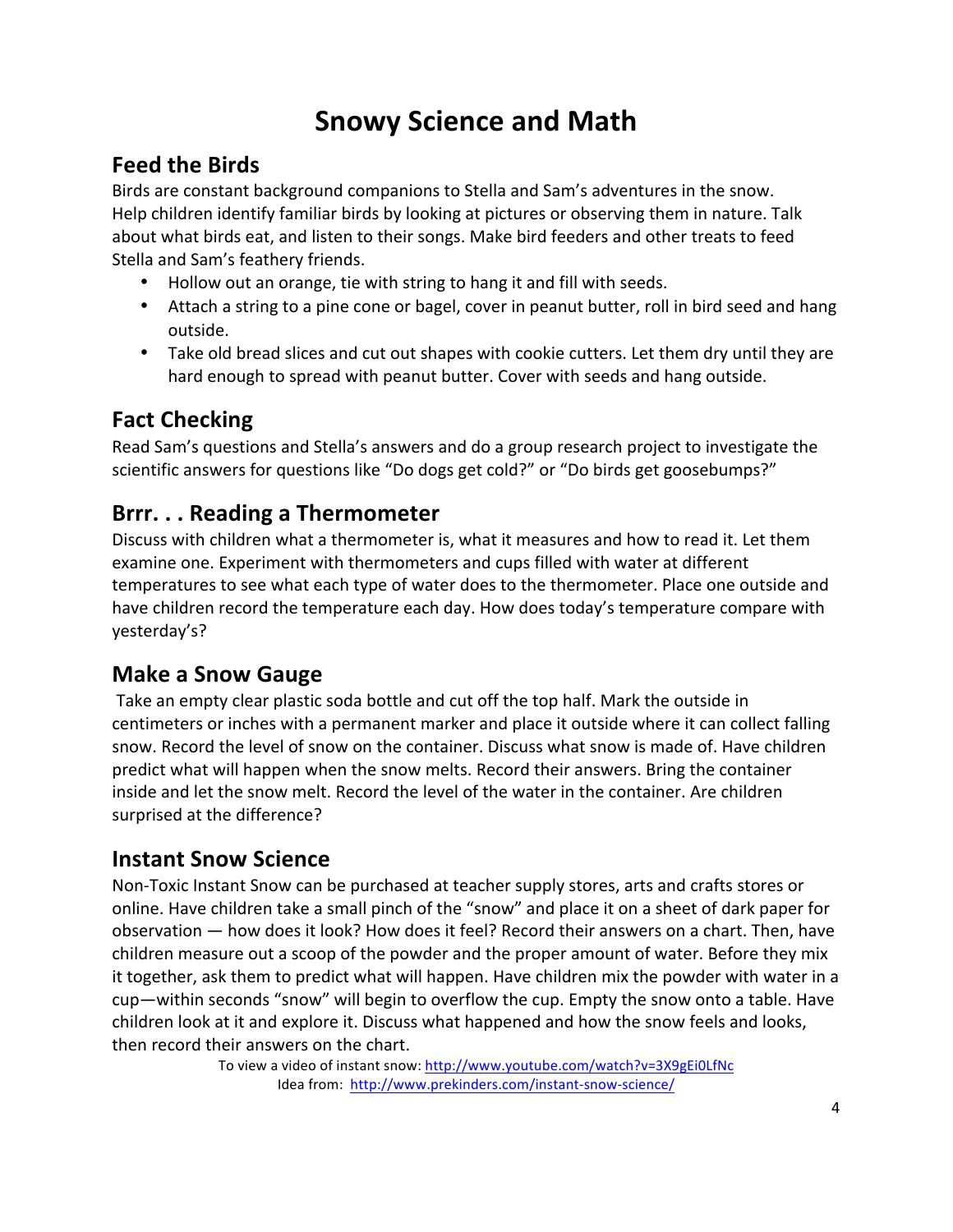# **Snowy Science and Math**

### **Feed the Birds**

Birds are constant background companions to Stella and Sam's adventures in the snow. Help children identify familiar birds by looking at pictures or observing them in nature. Talk about what birds eat, and listen to their songs. Make bird feeders and other treats to feed Stella and Sam's feathery friends.

- Hollow out an orange, tie with string to hang it and fill with seeds.
- Attach a string to a pine cone or bagel, cover in peanut butter, roll in bird seed and hang outside.
- Take old bread slices and cut out shapes with cookie cutters. Let them dry until they are hard enough to spread with peanut butter. Cover with seeds and hang outside.

### **Fact Checking**

Read Sam's questions and Stella's answers and do a group research project to investigate the scientific answers for questions like "Do dogs get cold?" or "Do birds get goosebumps?"

#### **Brrr. . . Reading a Thermometer**

Discuss with children what a thermometer is, what it measures and how to read it. Let them examine one. Experiment with thermometers and cups filled with water at different temperatures to see what each type of water does to the thermometer. Place one outside and have children record the temperature each day. How does today's temperature compare with yesterday's?

### **Make a Snow Gauge**

Take an empty clear plastic soda bottle and cut off the top half. Mark the outside in centimeters or inches with a permanent marker and place it outside where it can collect falling snow. Record the level of snow on the container. Discuss what snow is made of. Have children predict what will happen when the snow melts. Record their answers. Bring the container inside and let the snow melt. Record the level of the water in the container. Are children surprised at the difference?

#### **Instant Snow Science**

Non-Toxic Instant Snow can be purchased at teacher supply stores, arts and crafts stores or online. Have children take a small pinch of the "snow" and place it on a sheet of dark paper for observation — how does it look? How does it feel? Record their answers on a chart. Then, have children measure out a scoop of the powder and the proper amount of water. Before they mix it together, ask them to predict what will happen. Have children mix the powder with water in a cup—within seconds "snow" will begin to overflow the cup. Empty the snow onto a table. Have children look at it and explore it. Discuss what happened and how the snow feels and looks, then record their answers on the chart.

To view a video of instant snow: http://www.youtube.com/watch?v=3X9gEi0LfNc Idea from: http://www.prekinders.com/instant-snow-science/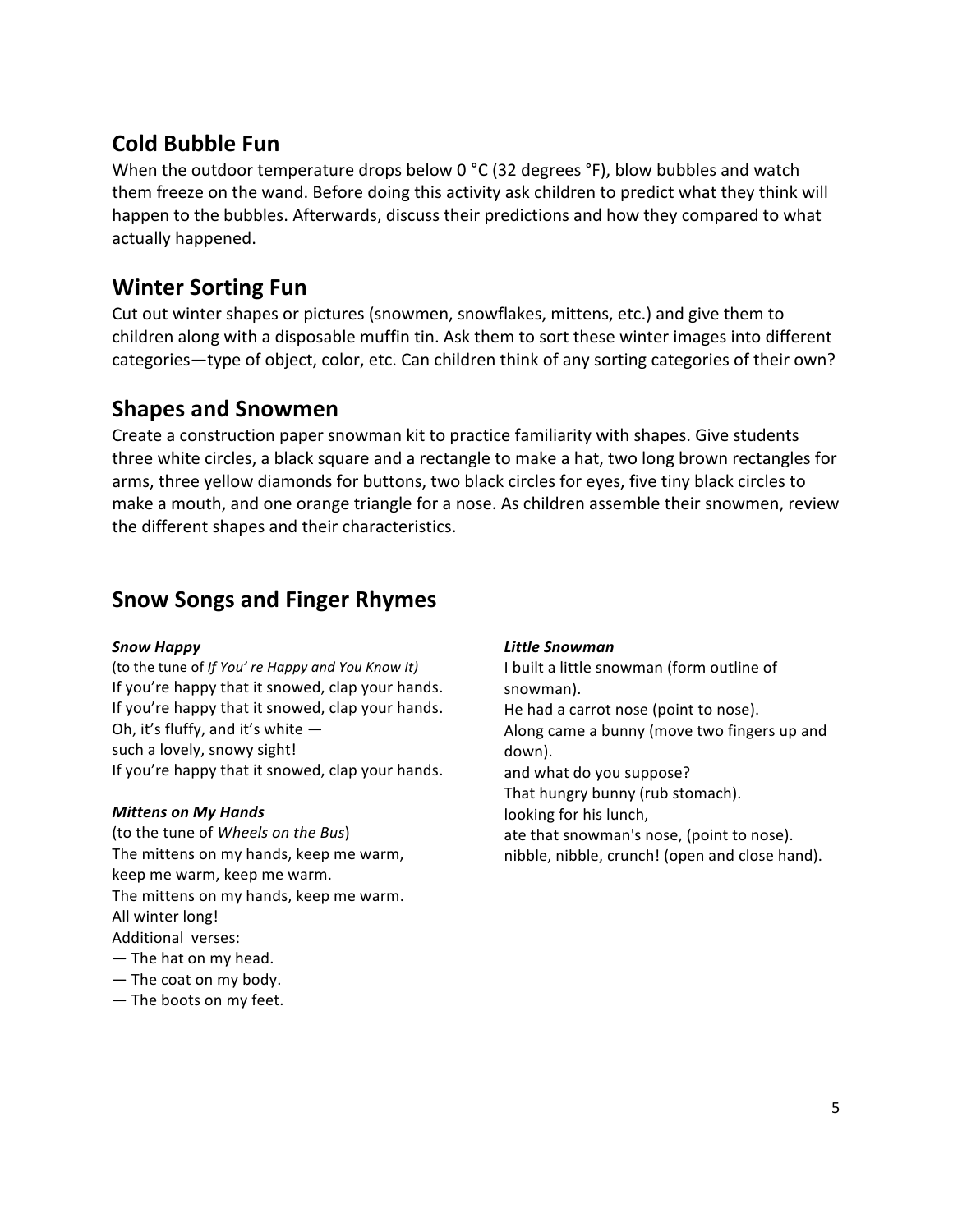#### **Cold Bubble Fun**

When the outdoor temperature drops below 0 °C (32 degrees °F), blow bubbles and watch them freeze on the wand. Before doing this activity ask children to predict what they think will happen to the bubbles. Afterwards, discuss their predictions and how they compared to what actually happened.

### **Winter Sorting Fun**

Cut out winter shapes or pictures (snowmen, snowflakes, mittens, etc.) and give them to children along with a disposable muffin tin. Ask them to sort these winter images into different categories—type of object, color, etc. Can children think of any sorting categories of their own?

#### **Shapes and Snowmen**

Create a construction paper snowman kit to practice familiarity with shapes. Give students three white circles, a black square and a rectangle to make a hat, two long brown rectangles for arms, three yellow diamonds for buttons, two black circles for eyes, five tiny black circles to make a mouth, and one orange triangle for a nose. As children assemble their snowmen, review the different shapes and their characteristics.

#### **Snow Songs and Finger Rhymes**

#### *Snow Happy*

(to the tune of *If You' re Happy and You Know It)* If you're happy that it snowed, clap your hands. If you're happy that it snowed, clap your hands. Oh, it's fluffy, and it's white  $$ such a lovely, snowy sight! If you're happy that it snowed, clap your hands.

#### *Mittens on My Hands*

(to the tune of *Wheels on the Bus*) The mittens on my hands, keep me warm, keep me warm, keep me warm. The mittens on my hands, keep me warm. All winter long! Additional verses:  $-$  The hat on my head.

- $-$  The coat on my body.
- The boots on my feet.

#### *Little Snowman*

I built a little snowman (form outline of snowman). He had a carrot nose (point to nose). Along came a bunny (move two fingers up and down). and what do you suppose? That hungry bunny (rub stomach). looking for his lunch, ate that snowman's nose, (point to nose). nibble, nibble, crunch! (open and close hand).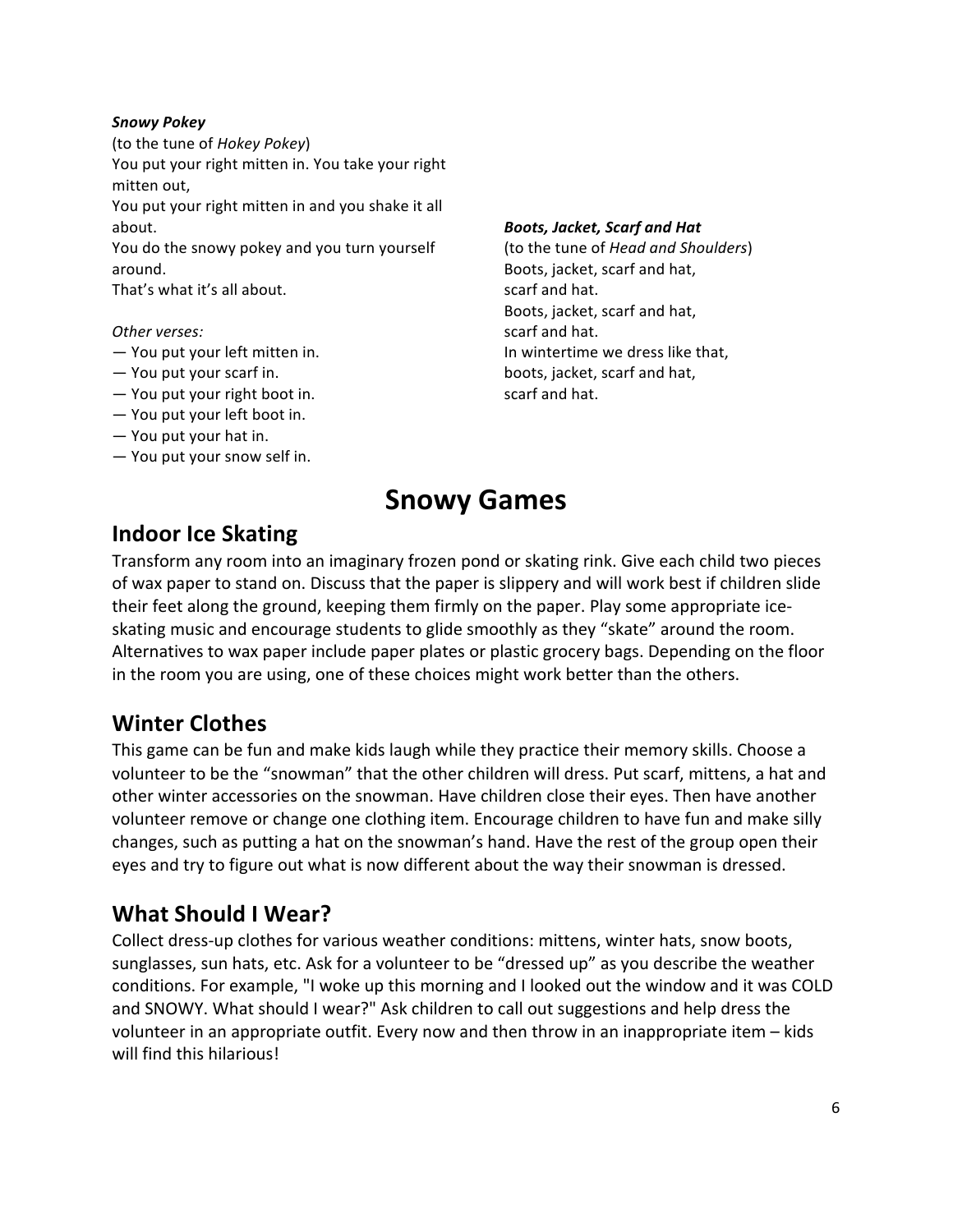#### *Snowy Pokey*

(to the tune of *Hokey Pokey*) You put your right mitten in. You take your right mitten out, You put your right mitten in and you shake it all

about.

You do the snowy pokey and you turn yourself around.

That's what it's all about.

#### *Other verses:*

- You put your left mitten in.
- $-$  You put your scarf in.
- $-$  You put your right boot in.
- $-$  You put your left boot in.
- $-$  You put your hat in.
- $-$  You put your snow self in.

#### *Boots, Jacket, Scarf and Hat*

(to the tune of *Head and Shoulders*) Boots, jacket, scarf and hat, scarf and hat. Boots, jacket, scarf and hat, scarf and hat. In wintertime we dress like that, boots, jacket, scarf and hat, scarf and hat.

# **Snowy Games**

#### **Indoor Ice Skating**

Transform any room into an imaginary frozen pond or skating rink. Give each child two pieces of wax paper to stand on. Discuss that the paper is slippery and will work best if children slide their feet along the ground, keeping them firmly on the paper. Play some appropriate iceskating music and encourage students to glide smoothly as they "skate" around the room. Alternatives to wax paper include paper plates or plastic grocery bags. Depending on the floor in the room you are using, one of these choices might work better than the others.

#### **Winter Clothes**

This game can be fun and make kids laugh while they practice their memory skills. Choose a volunteer to be the "snowman" that the other children will dress. Put scarf, mittens, a hat and other winter accessories on the snowman. Have children close their eyes. Then have another volunteer remove or change one clothing item. Encourage children to have fun and make silly changes, such as putting a hat on the snowman's hand. Have the rest of the group open their eyes and try to figure out what is now different about the way their snowman is dressed.

#### **What Should I Wear?**

Collect dress-up clothes for various weather conditions: mittens, winter hats, snow boots, sunglasses, sun hats, etc. Ask for a volunteer to be "dressed up" as you describe the weather conditions. For example, "I woke up this morning and I looked out the window and it was COLD and SNOWY. What should I wear?" Ask children to call out suggestions and help dress the volunteer in an appropriate outfit. Every now and then throw in an inappropriate item – kids will find this hilarious!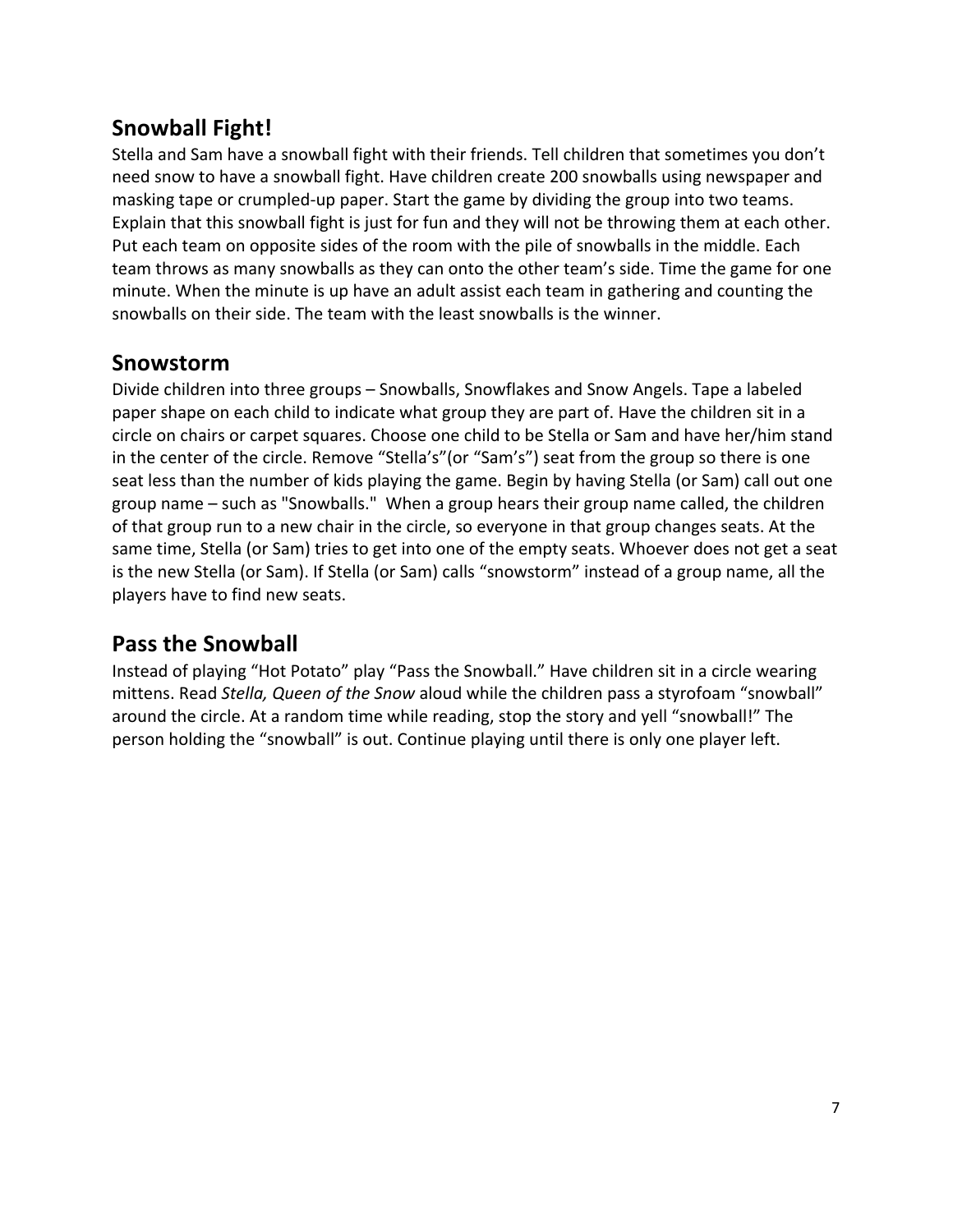### **Snowball Fight!**

Stella and Sam have a snowball fight with their friends. Tell children that sometimes you don't need snow to have a snowball fight. Have children create 200 snowballs using newspaper and masking tape or crumpled-up paper. Start the game by dividing the group into two teams. Explain that this snowball fight is just for fun and they will not be throwing them at each other. Put each team on opposite sides of the room with the pile of snowballs in the middle. Each team throws as many snowballs as they can onto the other team's side. Time the game for one minute. When the minute is up have an adult assist each team in gathering and counting the snowballs on their side. The team with the least snowballs is the winner.

#### **Snowstorm**

Divide children into three groups – Snowballs, Snowflakes and Snow Angels. Tape a labeled paper shape on each child to indicate what group they are part of. Have the children sit in a circle on chairs or carpet squares. Choose one child to be Stella or Sam and have her/him stand in the center of the circle. Remove "Stella's"(or "Sam's") seat from the group so there is one seat less than the number of kids playing the game. Begin by having Stella (or Sam) call out one group name – such as "Snowballs." When a group hears their group name called, the children of that group run to a new chair in the circle, so everyone in that group changes seats. At the same time, Stella (or Sam) tries to get into one of the empty seats. Whoever does not get a seat is the new Stella (or Sam). If Stella (or Sam) calls "snowstorm" instead of a group name, all the players have to find new seats.

#### **Pass the Snowball**

Instead of playing "Hot Potato" play "Pass the Snowball." Have children sit in a circle wearing mittens. Read *Stella, Queen of the Snow* aloud while the children pass a styrofoam "snowball" around the circle. At a random time while reading, stop the story and yell "snowball!" The person holding the "snowball" is out. Continue playing until there is only one player left.